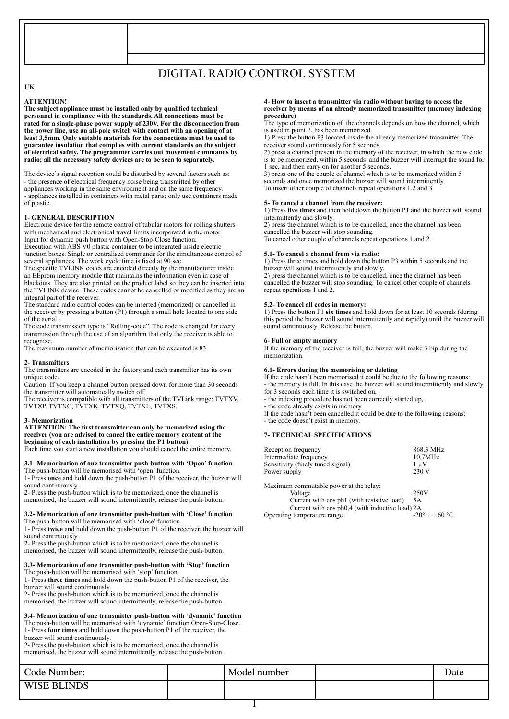# DIGITAL RADIO CONTROL SYSTEM

# **UK**

### **ATTENTION!**

**The subject appliance must be installed only by qualified technical personnel in compliance with the standards. All connections must be rated for a single-phase power supply of 230V. For the disconnection from the power line, use an all-pole switch with contact with an opening of at least 3,5mm. Only suitable materials for the connections must be used to guarantee insulation that complies with current standards on the subject of electrical safety. The programmer carries out movement commands by radio; all the necessary safety devices are to be seen to separately.**

The device's signal reception could be disturbed by several factors such as: - the presence of electrical frequency noise being transmitted by other appliances working in the same environment and on the same frequency. - appliances installed in containers with metal parts; only use containers made of plastic.

### **1- GENERAL DESCRIPTION**

Electronic device for the remote control of tubular motors for rolling shutters with mechanical and electronical travel limits incorporated in the motor. Input for dynamic push button with Open-Stop-Close function.

Execution with ABS V0 plastic container to be integrated inside electric junction boxes. Single or centralised commands for the simultaneous control of several appliances. The work cycle time is fixed at 90 sec.

The specific TVLINK codes are encoded directly by the manufacturer inside an EEprom memory module that maintains the information even in case of blackouts. They are also printed on the product label so they can be inserted into the TVLINK device. These codes cannot be cancelled or modified as they are an integral part of the receiver.

The standard radio control codes can be inserted (memorized) or cancelled in the receiver by pressing a button (P1) through a small hole located to one side of the aerial.

The code transmission type is "Rolling-code". The code is changed for every transmission through the use of an algorithm that only the receiver is able to recognize.

The maximum number of memorization that can be executed is 83.

#### **2- Transmitters**

The transmitters are encoded in the factory and each transmitter has its own unique code.

Caution! If you keep a channel button pressed down for more than 30 seconds the transmitter will automatically switch off.

The receiver is compatible with all transmitters of the TVLink range: TVTXV, TVTXP, TVTXC, TVTXK, TVTXQ, TVTXL, TVTXS.

#### **3- Memorization**

**ATTENTION: The first transmitter can only be memorized using the receiver (you are advised to cancel the entire memory content at the beginning of each installation by pressing the P1 button).**  Each time you start a new installation you should cancel the entire memory.

**3.1- Memorization of one transmitter push-button with 'Open' function**

The push-button will be memorised with 'open' function. 1- Press **once** and hold down the push-button P1 of the receiver, the buzzer will sound continuously.

2- Press the push-button which is to be memorized, once the channel is memorised, the buzzer will sound intermittently, release the push-button.

#### **3.2- Memorization of one transmitter push-button with 'Close' function** The push-button will be memorised with 'close' function.

1- Press **twice** and hold down the push-button P1 of the receiver, the buzzer will sound continuously.

2- Press the push-button which is to be memorized, once the channel is memorised, the buzzer will sound intermittently, release the push-button.

# **3.3- Memorization of one transmitter push-button with 'Stop' function**

The push-button will be memorised with 'stop' function. 1- Press **three times** and hold down the push-button P1 of the receiver, the

buzzer will sound continuously.

2- Press the push-button which is to be memorized, once the channel is

memorised, the buzzer will sound intermittently, release the push-button.

# **3.4- Memorization of one transmitter push-button with 'dynamic' function**

The push-button will be memorised with 'dynamic' function Open-Stop-Close. 1- Press **four times** and hold down the push-button P1 of the receiver, the buzzer will sound continuously.

2- Press the push-button which is to be memorized, once the channel is memorised, the buzzer will sound intermittently, release the push-button.

### **4- How to insert a transmitter via radio without having to access the receiver by means of an already memorized transmitter (memory indexing procedure)**

The type of memorization of the channels depends on how the channel, which is used in point 2, has been memorized.

1) Press the button P3 located inside the already memorized transmitter. The receiver sound continuously for 5 seconds.

2) press a channel present in the memory of the receiver, in which the new code is to be memorized, within 5 seconds and the buzzer will interrupt the sound for 1 sec, and then carry on for another 5 seconds.

3) press one of the couple of channel which is to be memorized within 5 seconds and once memorized the buzzer will sound intermittently. To insert other couple of channels repeat operations 1,2 and 3

### **5- To cancel a channel from the receiver:**

1) Press **five times** and then hold down the button P1 and the buzzer will sound intermittently and slowly.

2) press the channel which is to be cancelled, once the channel has been cancelled the buzzer will stop sounding. To cancel other couple of channels repeat operations 1 and 2.

# **5.1- To cancel a channel from via radio:**

1) Press three times and hold down the button P3 within 5 seconds and the buzzer will sound intermittently and slowly.

2) press the channel which is to be cancelled, once the channel has been cancelled the buzzer will stop sounding. To cancel other couple of channels repeat operations 1 and 2.

### **5.2- To cancel all codes in memory:**

1) Press the button P1 **six times** and hold down for at least 10 seconds (during this period the buzzer will sound intermittently and rapidly) until the buzzer will sound continuously. Release the button.

### **6- Full or empty memory**

If the memory of the receiver is full, the buzzer will make 3 bip during the memorization.

#### **6.1- Errors during the memorising or deleting**

If the code hasn't been memorised it could be due to the following reasons: - the memory is full. In this case the buzzer will sound intermittently and slowly for 3 seconds each time it is switched on

- the indexing procedure has not been correctly started up,

- the code already exists in memory.

If the code hasn't been cancelled it could be due to the following reasons: - the code doesn't exist in memory.

## **7- TECHNICAL SPECIFICATIONS**

| Reception frequency               | 868.3 MHz |
|-----------------------------------|-----------|
| Intermediate frequency            | 10.7MHz   |
| Sensitivity (finely tuned signal) | $1 \mu V$ |
| Power supply                      | 230 V     |
|                                   |           |

Maximum commutable power at the relay:

| Voltage                                         | 250V                            |
|-------------------------------------------------|---------------------------------|
| Current with cos ph1 (with resistive load)      | .5A                             |
| Current with cos ph0.4 (with inductive load) 2A |                                 |
| Operating temperature range                     | $-20^{\circ} \div 60^{\circ}$ C |

| Code Number:       | Model number | Date |
|--------------------|--------------|------|
| <b>WISE BLINDS</b> |              |      |